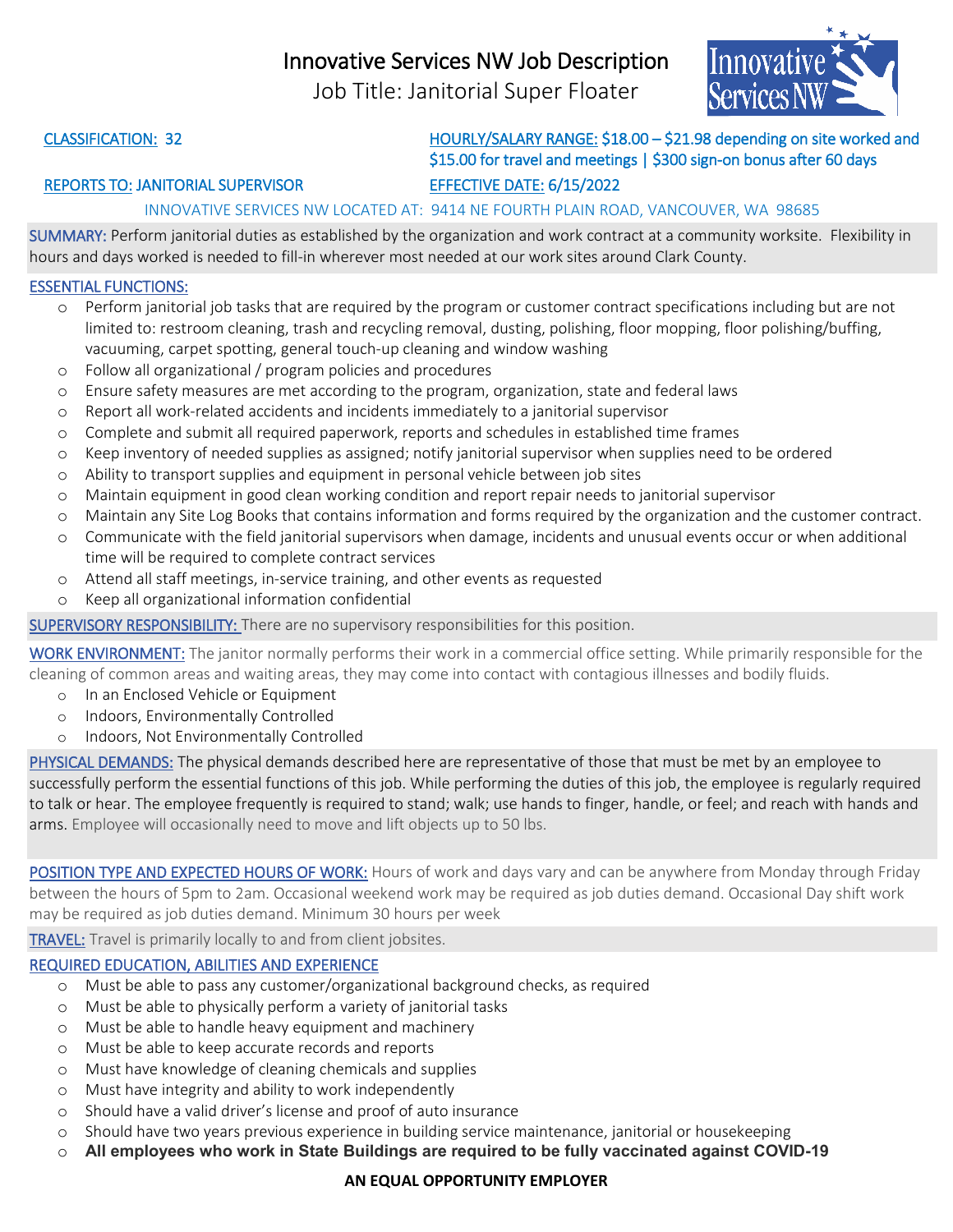## Innovative Services NW Job Description

Job Title: Janitorial Super Floater



CLASSIFICATION: 32 HOURLY/SALARY RANGE: \$18.00 – \$21.98 depending on site worked and \$15.00 for travel and meetings | \$300 sign-on bonus after 60 days

### REPORTS TO: JANITORIAL SUPERVISOR EFFECTIVE DATE: 6/15/2022

### INNOVATIVE SERVICES NW LOCATED AT: 9414 NE FOURTH PLAIN ROAD, VANCOUVER, WA 98685

SUMMARY: Perform janitorial duties as established by the organization and work contract at a community worksite. Flexibility in hours and days worked is needed to fill-in wherever most needed at our work sites around Clark County.

#### ESSENTIAL FUNCTIONS:

- o Perform janitorial job tasks that are required by the program or customer contract specifications including but are not limited to: restroom cleaning, trash and recycling removal, dusting, polishing, floor mopping, floor polishing/buffing, vacuuming, carpet spotting, general touch-up cleaning and window washing
- o Follow all organizational / program policies and procedures
- o Ensure safety measures are met according to the program, organization, state and federal laws
- o Report all work-related accidents and incidents immediately to a janitorial supervisor
- o Complete and submit all required paperwork, reports and schedules in established time frames
- o Keep inventory of needed supplies as assigned; notify janitorial supervisor when supplies need to be ordered
- o Ability to transport supplies and equipment in personal vehicle between job sites
- o Maintain equipment in good clean working condition and report repair needs to janitorial supervisor
- o Maintain any Site Log Books that contains information and forms required by the organization and the customer contract.
- o Communicate with the field janitorial supervisors when damage, incidents and unusual events occur or when additional time will be required to complete contract services
- o Attend all staff meetings, in-service training, and other events as requested
- o Keep all organizational information confidential

SUPERVISORY RESPONSIBILITY: There are no supervisory responsibilities for this position.

WORK ENVIRONMENT: The janitor normally performs their work in a commercial office setting. While primarily responsible for the cleaning of common areas and waiting areas, they may come into contact with contagious illnesses and bodily fluids.

- o In an Enclosed Vehicle or Equipment
- o Indoors, Environmentally Controlled
- o Indoors, Not Environmentally Controlled

PHYSICAL DEMANDS: The physical demands described here are representative of those that must be met by an employee to successfully perform the essential functions of this job. While performing the duties of this job, the employee is regularly required to talk or hear. The employee frequently is required to stand; walk; use hands to finger, handle, or feel; and reach with hands and arms. Employee will occasionally need to move and lift objects up to 50 lbs.

POSITION TYPE AND EXPECTED HOURS OF WORK: Hours of work and days vary and can be anywhere from Monday through Friday between the hours of 5pm to 2am. Occasional weekend work may be required as job duties demand. Occasional Day shift work may be required as job duties demand. Minimum 30 hours per week

TRAVEL: Travel is primarily locally to and from client jobsites.

### REQUIRED EDUCATION, ABILITIES AND EXPERIENCE

- o Must be able to pass any customer/organizational background checks, as required
- o Must be able to physically perform a variety of janitorial tasks
- o Must be able to handle heavy equipment and machinery
- o Must be able to keep accurate records and reports
- o Must have knowledge of cleaning chemicals and supplies
- o Must have integrity and ability to work independently
- o Should have a valid driver's license and proof of auto insurance
- o Should have two years previous experience in building service maintenance, janitorial or housekeeping
- o **All employees who work in State Buildings are required to be fully vaccinated against COVID-19**

#### **AN EQUAL OPPORTUNITY EMPLOYER**